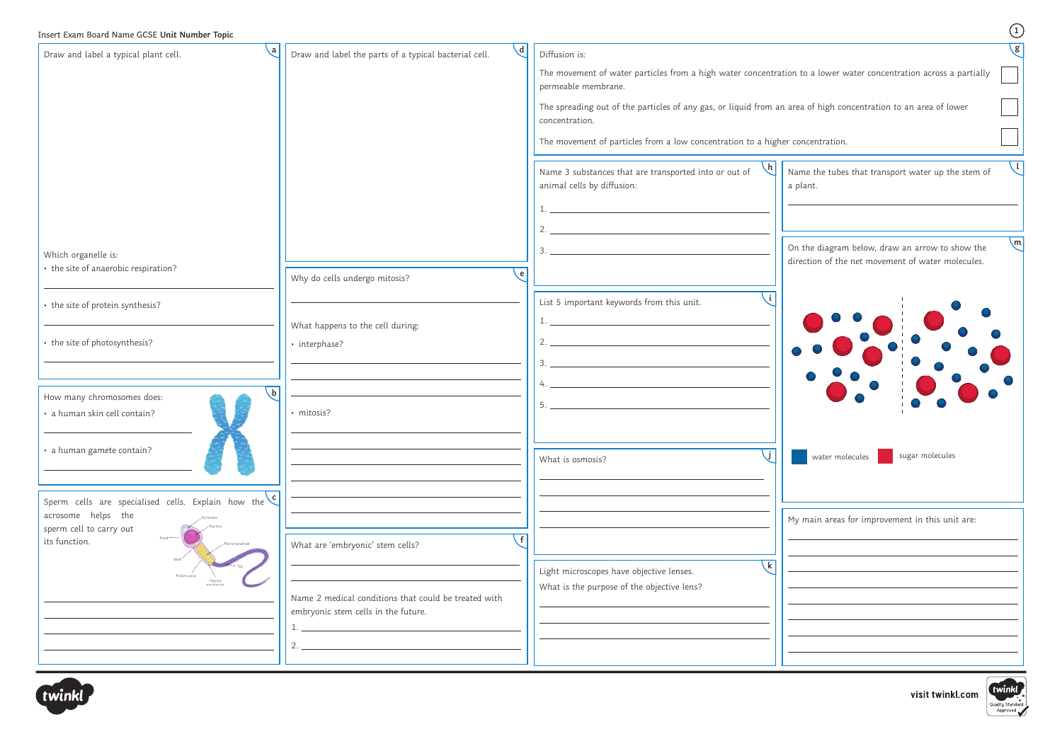| $\mathbf{a}$<br>Draw and label a typical plant cell.                       | $\mathsf{d}$<br>Draw and label the parts of a typical bacterial cell.                       | Diffusion is:                                                                                                                            |                                                                |
|----------------------------------------------------------------------------|---------------------------------------------------------------------------------------------|------------------------------------------------------------------------------------------------------------------------------------------|----------------------------------------------------------------|
|                                                                            |                                                                                             | The movement of water particles from a high water concentration to a lower water concentration across a partially<br>permeable membrane. |                                                                |
|                                                                            |                                                                                             | The spreading out of the particles of any gas, or liquid from an area of high concentration to an area of lower<br>concentration.        |                                                                |
|                                                                            |                                                                                             | The movement of particles from a low concentration to a higher concentration.                                                            |                                                                |
|                                                                            |                                                                                             | Name 3 substances that are transported into or out of<br>animal cells by diffusion:                                                      | Name the tubes that transport water up the stem of<br>a plant. |
|                                                                            |                                                                                             |                                                                                                                                          |                                                                |
| Which organelle is:                                                        |                                                                                             |                                                                                                                                          | On the diagram below, draw an arrow to show the                |
| • the site of anaerobic respiration?                                       | Why do cells undergo mitosis?                                                               |                                                                                                                                          | direction of the net movement of water molecules.              |
| • the site of protein synthesis?                                           |                                                                                             | List 5 important keywords from this unit.                                                                                                |                                                                |
| • the site of photosynthesis?                                              | What happens to the cell during:<br>· interphase?                                           |                                                                                                                                          |                                                                |
|                                                                            |                                                                                             |                                                                                                                                          |                                                                |
| $\mathbf{b}$<br>How many chromosomes does:<br>· a human skin cell contain? | · mitosis?                                                                                  | 5.                                                                                                                                       |                                                                |
| · a human gamete contain?                                                  |                                                                                             | What is osmosis?                                                                                                                         | sugar molecules<br>water molecules                             |
| Sperm cells are specialised cells. Explain how the $\text{c}$              |                                                                                             |                                                                                                                                          |                                                                |
| acrosome helps the<br>sperm cell to carry out                              |                                                                                             |                                                                                                                                          | My main areas for improvement in this unit are:                |
| its function.<br>litrochondrian                                            | What are 'embryonic' stem cells?                                                            |                                                                                                                                          |                                                                |
| Middle piece<br>Plasma                                                     |                                                                                             | \ k  <br>Light microscopes have objective lenses.<br>What is the purpose of the objective lens?                                          |                                                                |
|                                                                            | Name 2 medical conditions that could be treated with<br>embryonic stem cells in the future. |                                                                                                                                          |                                                                |
|                                                                            |                                                                                             |                                                                                                                                          |                                                                |
|                                                                            |                                                                                             |                                                                                                                                          |                                                                |





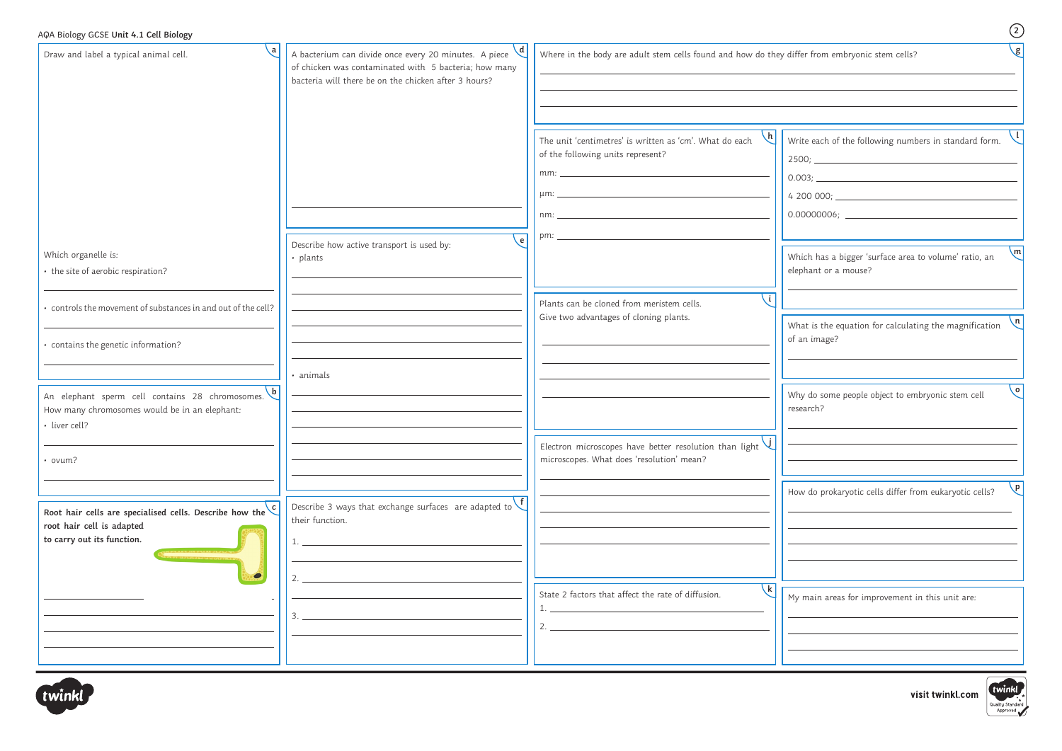| $\mathbf{a}$<br>Draw and label a typical animal cell.                                                                      | A bacterium can divide once every 20 minutes. A piece<br>of chicken was contaminated with 5 bacteria; how many<br>bacteria will there be on the chicken after 3 hours? | $\mathbf{g}$<br>Where in the body are adult stem cells found and how do they differ from embryonic stem cells? |                                                                                               |
|----------------------------------------------------------------------------------------------------------------------------|------------------------------------------------------------------------------------------------------------------------------------------------------------------------|----------------------------------------------------------------------------------------------------------------|-----------------------------------------------------------------------------------------------|
|                                                                                                                            |                                                                                                                                                                        | The unit 'centimetres' is written as 'cm'. What do each<br>of the following units represent?                   | Write each of the following numbers in standard form.                                         |
|                                                                                                                            | $\epsilon$                                                                                                                                                             |                                                                                                                |                                                                                               |
| Which organelle is:<br>• the site of aerobic respiration?                                                                  | Describe how active transport is used by:<br>• plants                                                                                                                  |                                                                                                                | $\mathbf{m}$<br>Which has a bigger 'surface area to volume' ratio, an<br>elephant or a mouse? |
| · controls the movement of substances in and out of the cell?<br>· contains the genetic information?                       |                                                                                                                                                                        | Plants can be cloned from meristem cells.<br>Give two advantages of cloning plants.                            | $\binom{n}{k}$<br>What is the equation for calculating the magnification<br>of an image?      |
| An elephant sperm cell contains 28 chromosomes. b<br>How many chromosomes would be in an elephant:                         | · animals                                                                                                                                                              |                                                                                                                | $\sqrt{\circ}$<br>Why do some people object to embryonic stem cell<br>research?               |
| · liver cell?<br>• ovum?                                                                                                   |                                                                                                                                                                        | Electron microscopes have better resolution than light $\vee$<br>microscopes. What does 'resolution' mean?     |                                                                                               |
| Root hair cells are specialised cells. Describe how the $\zeta$<br>root hair cell is adapted<br>to carry out its function. | Describe 3 ways that exchange surfaces are adapted to $\left\{ \right.$<br>their function.                                                                             |                                                                                                                | $\sqrt{p}$<br>How do prokaryotic cells differ from eukaryotic cells?                          |
| $\bullet$                                                                                                                  |                                                                                                                                                                        | State 2 factors that affect the rate of diffusion.                                                             | My main areas for improvement in this unit are:                                               |



Quality Standard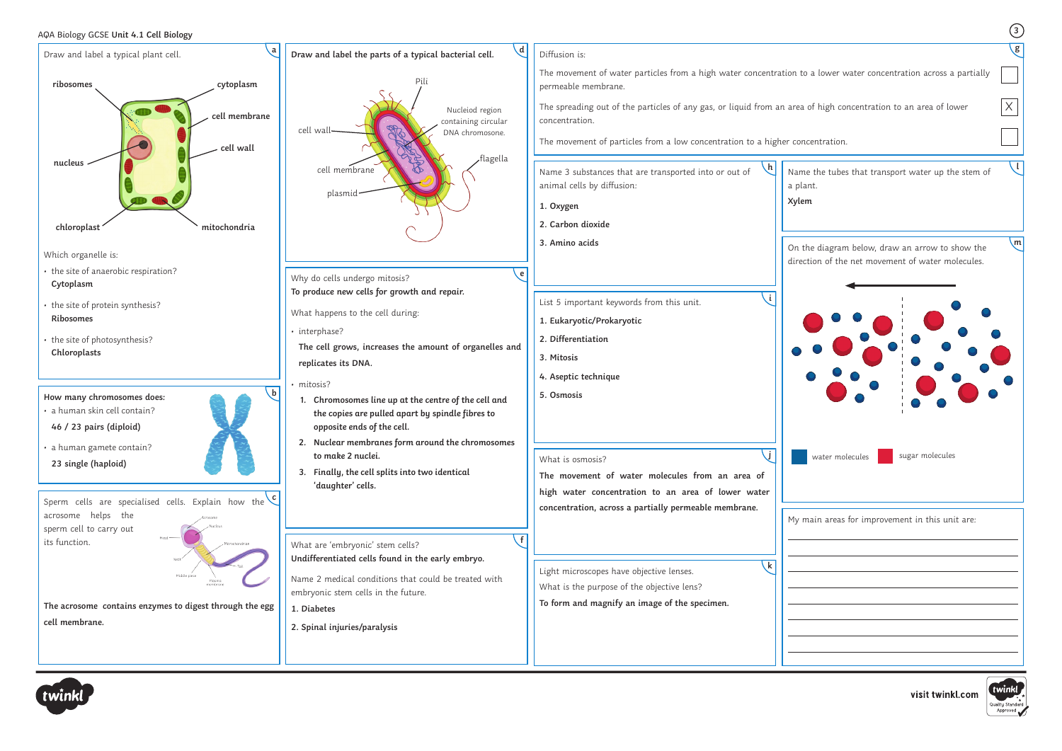